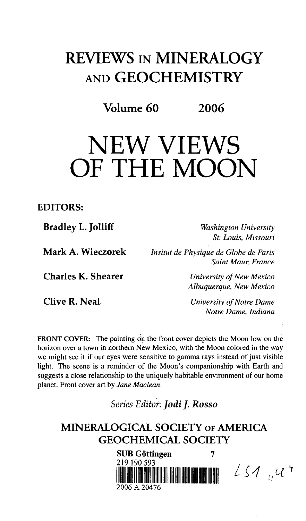# REVIEWS IN MINERALOGY AND GEOCHEMISTRY

Volume 60 2006

# NEW VIEWS OF THE MOON

#### **EDITORS:**

**Bradley L. Jolliff** *Washington University*

*St. Louis, Missouri*

**Mark A. Wieczorek** *Insitut de Physique de Globe de Paris Saint Maur, France*

**Charles K. Shearer** *University of.New Mexico*

**Clive R. Neal** *University of Notre Dame Notre Dame, Indiana*

 $LS1$ , 4

*Albuquerque, New Mexico*

FRONT COVER: The painting on the front cover depicts the Moon low on the horizon over a town in northern New Mexico, with the Moon colored in the way we might see it if our eyes were sensitive to gamma rays instead of just visible light. The scene is a reminder of the Moon's companionship with Earth and suggests a close relationship to the uniquely habitable environment of our home planet. Front cover art by *Jane Maclean.*

*Series Editor: Jodi J. Rosso*

# **MINERALOGICAL SOCIETY OF AMERICA GEOCHEMICAL SOCIETY**

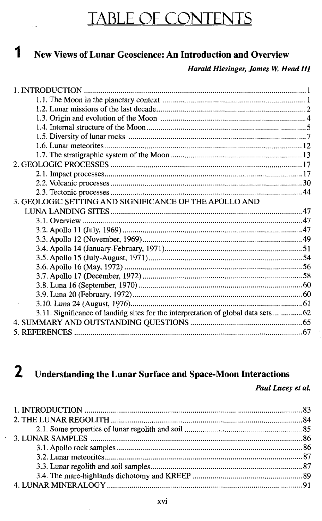# TABLE OF CONTENTS

# l New Views of Lunar Geoscience: An Introduction and Overview

#### *Harald Hiesinger, James W. Head HI*

| 3. GEOLOGIC SETTING AND SIGNIFICANCE OF THE APOLLO AND                            |  |
|-----------------------------------------------------------------------------------|--|
|                                                                                   |  |
|                                                                                   |  |
|                                                                                   |  |
|                                                                                   |  |
|                                                                                   |  |
|                                                                                   |  |
|                                                                                   |  |
|                                                                                   |  |
|                                                                                   |  |
|                                                                                   |  |
|                                                                                   |  |
| 3.11. Significance of landing sites for the interpretation of global data sets 62 |  |
|                                                                                   |  |
|                                                                                   |  |

#### $\overline{2}$ Understanding the Lunar Surface and Space-Moon Interactions

*Paul Lucey et al.*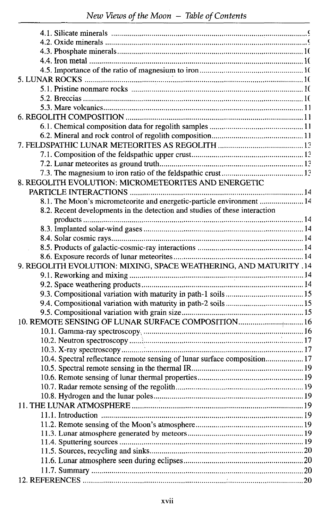| 8. REGOLITH EVOLUTION: MICROMETEORITES AND ENERGETIC                       |  |
|----------------------------------------------------------------------------|--|
|                                                                            |  |
| 8.1. The Moon's micrometeorite and energetic-particle environment  14      |  |
| 8.2. Recent developments in the detection and studies of these interaction |  |
|                                                                            |  |
|                                                                            |  |
|                                                                            |  |
|                                                                            |  |
|                                                                            |  |
|                                                                            |  |
| 9. REGOLITH EVOLUTION: MIXING, SPACE WEATHERING, AND MATURITY .14          |  |
|                                                                            |  |
|                                                                            |  |
|                                                                            |  |
|                                                                            |  |
|                                                                            |  |
| 10. REMOTE SENSING OF LUNAR SURFACE COMPOSITION 16                         |  |
|                                                                            |  |
|                                                                            |  |
|                                                                            |  |
|                                                                            |  |
| 10.4. Spectral reflectance remote sensing of lunar surface composition 17  |  |
|                                                                            |  |
|                                                                            |  |
|                                                                            |  |
|                                                                            |  |
|                                                                            |  |
|                                                                            |  |
|                                                                            |  |
|                                                                            |  |
|                                                                            |  |
|                                                                            |  |
|                                                                            |  |
|                                                                            |  |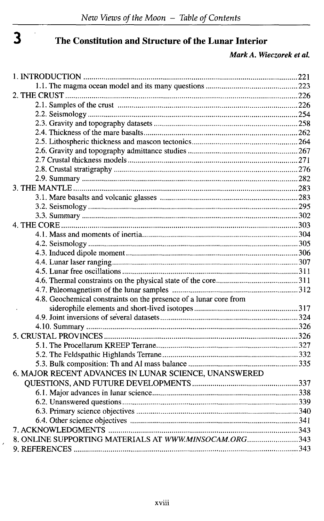$\epsilon$ 

# **J The Constitution and Structure of the Lunar Interior**

*Mark A. Wieczoreh etal.*

| 4.8. Geochemical constraints on the presence of a lunar core from |  |
|-------------------------------------------------------------------|--|
|                                                                   |  |
|                                                                   |  |
|                                                                   |  |
|                                                                   |  |
|                                                                   |  |
|                                                                   |  |
|                                                                   |  |
| 6. MAJOR RECENT ADVANCES IN LUNAR SCIENCE, UNANSWERED             |  |
|                                                                   |  |
|                                                                   |  |
|                                                                   |  |
|                                                                   |  |
|                                                                   |  |
|                                                                   |  |
| 8. ONLINE SUPPORTING MATERIALS AT WWW.MINSOCAM.ORG343             |  |
|                                                                   |  |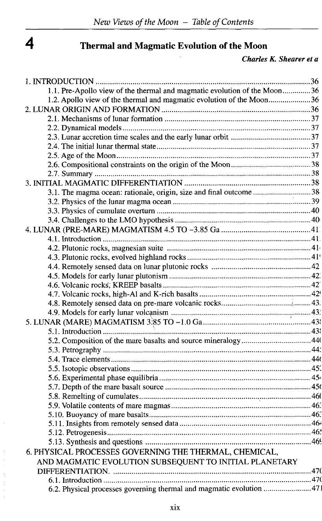# $\overline{\mathbf{4}}$

 $\label{eq:2.1} \frac{\partial}{\partial t} \left( \frac{\partial}{\partial t} \right) = \frac{\partial}{\partial t} \left( \frac{\partial}{\partial t} \right)$ 

### **Thermal and Magmatic Evolution of the Moon**

#### *Charles K. Shearer et a*

| 1.1. Pre-Apollo view of the thermal and magmatic evolution of the Moon36 |  |
|--------------------------------------------------------------------------|--|
| 1.2. Apollo view of the thermal and magmatic evolution of the Moon36     |  |
|                                                                          |  |
|                                                                          |  |
|                                                                          |  |
|                                                                          |  |
|                                                                          |  |
|                                                                          |  |
|                                                                          |  |
|                                                                          |  |
|                                                                          |  |
| 3.1. The magma ocean: rationale, origin, size and final outcome 38       |  |
|                                                                          |  |
|                                                                          |  |
|                                                                          |  |
|                                                                          |  |
|                                                                          |  |
|                                                                          |  |
|                                                                          |  |
|                                                                          |  |
|                                                                          |  |
|                                                                          |  |
|                                                                          |  |
|                                                                          |  |
|                                                                          |  |
|                                                                          |  |
|                                                                          |  |
|                                                                          |  |
|                                                                          |  |
|                                                                          |  |
|                                                                          |  |
|                                                                          |  |
|                                                                          |  |
|                                                                          |  |
|                                                                          |  |
|                                                                          |  |
|                                                                          |  |
|                                                                          |  |
|                                                                          |  |
| 6. PHYSICAL PROCESSES GOVERNING THE THERMAL, CHEMICAL,                   |  |
| AND MAGMATIC EVOLUTION SUBSEQUENT TO INITIAL PLANETARY                   |  |
|                                                                          |  |
|                                                                          |  |
| 6.2. Physical processes governing thermal and magmatic evolution  471    |  |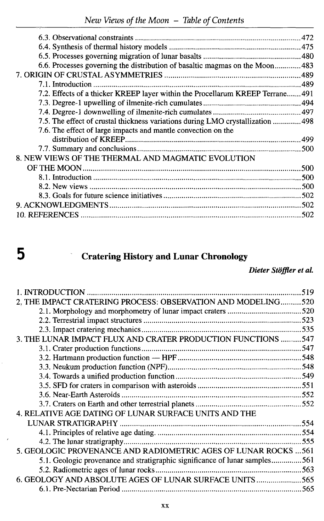| 6.6. Processes governing the distribution of basaltic magmas on the Moon 483    |  |
|---------------------------------------------------------------------------------|--|
|                                                                                 |  |
|                                                                                 |  |
| 7.2. Effects of a thicker KREEP layer within the Procellarum KREEP Terrane 491  |  |
|                                                                                 |  |
|                                                                                 |  |
| 7.5. The effect of crustal thickness variations during LMO crystallization  498 |  |
| 7.6. The effect of large impacts and mantle convection on the                   |  |
|                                                                                 |  |
|                                                                                 |  |
| 8. NEW VIEWS OF THE THERMAL AND MAGMATIC EVOLUTION                              |  |
|                                                                                 |  |
|                                                                                 |  |
|                                                                                 |  |
|                                                                                 |  |
|                                                                                 |  |
|                                                                                 |  |
|                                                                                 |  |

# **5 Cratering History and Lunar Chronology**

### *Dieter Stoffler et al.*

| 519                                                                         |  |
|-----------------------------------------------------------------------------|--|
| 2. THE IMPACT CRATERING PROCESS: OBSERVATION AND MODELING520                |  |
|                                                                             |  |
|                                                                             |  |
|                                                                             |  |
| 3. THE LUNAR IMPACT FLUX AND CRATER PRODUCTION FUNCTIONS  547               |  |
|                                                                             |  |
|                                                                             |  |
|                                                                             |  |
|                                                                             |  |
|                                                                             |  |
|                                                                             |  |
|                                                                             |  |
| 4. RELATIVE AGE DATING OF LUNAR SURFACE UNITS AND THE                       |  |
|                                                                             |  |
|                                                                             |  |
|                                                                             |  |
| 5. GEOLOGIC PROVENANCE AND RADIOMETRIC AGES OF LUNAR ROCKS  561             |  |
| 5.1. Geologic provenance and stratigraphic significance of lunar samples561 |  |
|                                                                             |  |
| 6. GEOLOGY AND ABSOLUTE AGES OF LUNAR SURFACE UNITS565                      |  |
|                                                                             |  |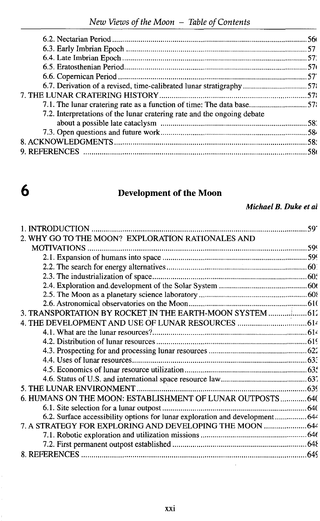| 6.7. Derivation of a revised, time-calibrated lunar stratigraphy 57     |  |
|-------------------------------------------------------------------------|--|
|                                                                         |  |
| 7.1. The lunar cratering rate as a function of time: The data base57    |  |
| 7.2. Interpretations of the lunar cratering rate and the ongoing debate |  |
|                                                                         |  |
|                                                                         |  |
|                                                                         |  |
|                                                                         |  |
|                                                                         |  |

# **O Development of the Moon**

*Michael B. Duke et al*

| 2. WHY GO TO THE MOON? EXPLORATION RATIONALES AND                            |  |
|------------------------------------------------------------------------------|--|
|                                                                              |  |
|                                                                              |  |
|                                                                              |  |
|                                                                              |  |
|                                                                              |  |
|                                                                              |  |
|                                                                              |  |
| 3. TRANSPORTATION BY ROCKET IN THE EARTH-MOON SYSTEM                         |  |
| 4. THE DEVELOPMENT AND USE OF LUNAR RESOURCES  614                           |  |
|                                                                              |  |
|                                                                              |  |
|                                                                              |  |
|                                                                              |  |
|                                                                              |  |
|                                                                              |  |
|                                                                              |  |
| 6. HUMANS ON THE MOON: ESTABLISHMENT OF LUNAR OUTPOSTS 640                   |  |
|                                                                              |  |
| 6.2. Surface accessibility options for lunar exploration and development 644 |  |
| 7. A STRATEGY FOR EXPLORING AND DEVELOPING THE MOON  644                     |  |
|                                                                              |  |
|                                                                              |  |
|                                                                              |  |
|                                                                              |  |